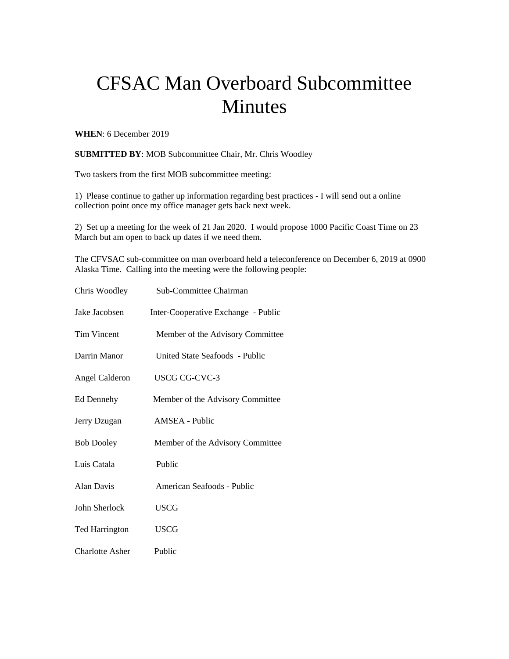## CFSAC Man Overboard Subcommittee Minutes

**WHEN**: 6 December 2019

**SUBMITTED BY**: MOB Subcommittee Chair, Mr. Chris Woodley

Two taskers from the first MOB subcommittee meeting:

1) Please continue to gather up information regarding best practices - I will send out a online collection point once my office manager gets back next week.

2) Set up a meeting for the week of 21 Jan 2020. I would propose 1000 Pacific Coast Time on 23 March but am open to back up dates if we need them.

The CFVSAC sub-committee on man overboard held a teleconference on December 6, 2019 at 0900 Alaska Time. Calling into the meeting were the following people:

| Chris Woodley          | Sub-Committee Chairman              |
|------------------------|-------------------------------------|
| Jake Jacobsen          | Inter-Cooperative Exchange - Public |
| <b>Tim Vincent</b>     | Member of the Advisory Committee    |
| Darrin Manor           | United State Seafoods - Public      |
| <b>Angel Calderon</b>  | <b>USCG CG-CVC-3</b>                |
| Ed Dennehy             | Member of the Advisory Committee    |
| Jerry Dzugan           | AMSEA - Public                      |
| <b>Bob Dooley</b>      | Member of the Advisory Committee    |
| Luis Catala            | Public                              |
| Alan Davis             | American Seafoods - Public          |
| John Sherlock          | <b>USCG</b>                         |
| <b>Ted Harrington</b>  | <b>USCG</b>                         |
| <b>Charlotte Asher</b> | Public                              |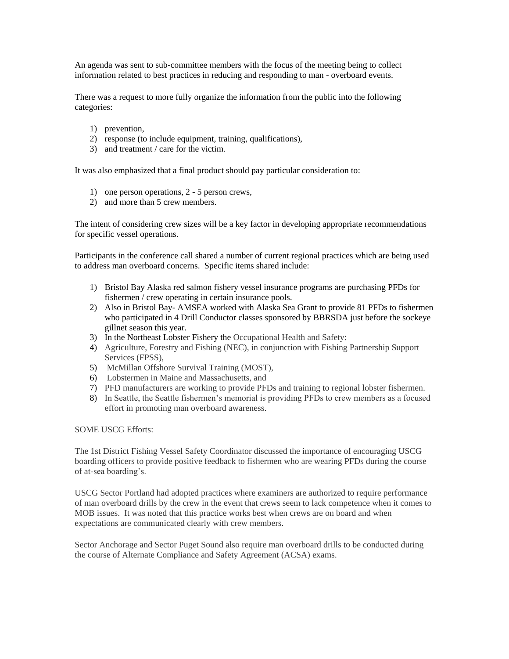An agenda was sent to sub-committee members with the focus of the meeting being to collect information related to best practices in reducing and responding to man - overboard events.

There was a request to more fully organize the information from the public into the following categories:

- 1) prevention,
- 2) response (to include equipment, training, qualifications),
- 3) and treatment / care for the victim.

It was also emphasized that a final product should pay particular consideration to:

- 1) one person operations, 2 5 person crews,
- 2) and more than 5 crew members.

The intent of considering crew sizes will be a key factor in developing appropriate recommendations for specific vessel operations.

Participants in the conference call shared a number of current regional practices which are being used to address man overboard concerns. Specific items shared include:

- 1) Bristol Bay Alaska red salmon fishery vessel insurance programs are purchasing PFDs for fishermen / crew operating in certain insurance pools.
- 2) Also in Bristol Bay- AMSEA worked with Alaska Sea Grant to provide 81 PFDs to fishermen who participated in 4 Drill Conductor classes sponsored by BBRSDA just before the sockeye gillnet season this year.
- 3) In the Northeast Lobster Fishery the Occupational Health and Safety:
- 4) Agriculture, Forestry and Fishing (NEC), in conjunction with Fishing Partnership Support Services (FPSS),
- 5) McMillan Offshore Survival Training (MOST),
- 6) Lobstermen in Maine and Massachusetts, and
- 7) PFD manufacturers are working to provide PFDs and training to regional lobster fishermen.
- 8) In Seattle, the Seattle fishermen's memorial is providing PFDs to crew members as a focused effort in promoting man overboard awareness.

SOME USCG Efforts:

The 1st District Fishing Vessel Safety Coordinator discussed the importance of encouraging USCG boarding officers to provide positive feedback to fishermen who are wearing PFDs during the course of at-sea boarding's.

USCG Sector Portland had adopted practices where examiners are authorized to require performance of man overboard drills by the crew in the event that crews seem to lack competence when it comes to MOB issues. It was noted that this practice works best when crews are on board and when expectations are communicated clearly with crew members.

Sector Anchorage and Sector Puget Sound also require man overboard drills to be conducted during the course of Alternate Compliance and Safety Agreement (ACSA) exams.